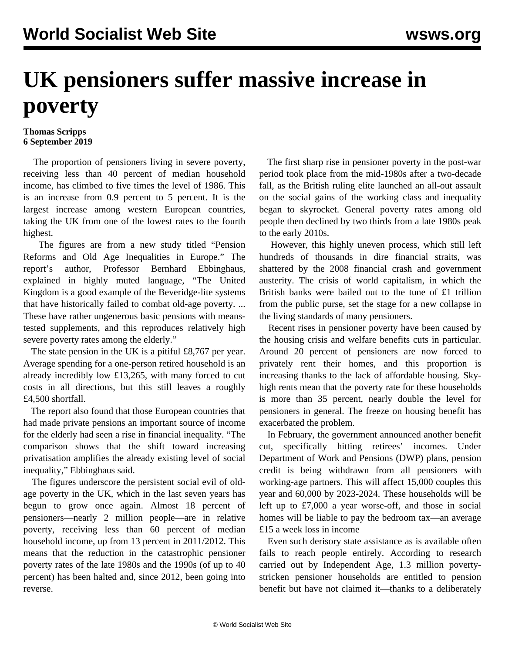## **UK pensioners suffer massive increase in poverty**

## **Thomas Scripps 6 September 2019**

 The proportion of pensioners living in severe poverty, receiving less than 40 percent of median household income, has climbed to five times the level of 1986. This is an increase from 0.9 percent to 5 percent. It is the largest increase among western European countries, taking the UK from one of the lowest rates to the fourth highest.

 The figures are from a new study titled "Pension Reforms and Old Age Inequalities in Europe." The report's author, Professor Bernhard Ebbinghaus, explained in highly muted language, "The United Kingdom is a good example of the Beveridge-lite systems that have historically failed to combat old-age poverty. ... These have rather ungenerous basic pensions with meanstested supplements, and this reproduces relatively high severe poverty rates among the elderly."

The state pension in the UK is a pitiful £8,767 per year. Average spending for a one-person retired household is an already incredibly low £13,265, with many forced to cut costs in all directions, but this still leaves a roughly £4,500 shortfall.

 The report also found that those European countries that had made private pensions an important source of income for the elderly had seen a rise in financial inequality. "The comparison shows that the shift toward increasing privatisation amplifies the already existing level of social inequality," Ebbinghaus said.

 The figures underscore the persistent social evil of oldage poverty in the UK, which in the last seven years has begun to grow once again. Almost 18 percent of pensioners—nearly 2 million people—are in relative poverty, receiving less than 60 percent of median household income, up from 13 percent in 2011/2012. This means that the reduction in the catastrophic pensioner poverty rates of the late 1980s and the 1990s (of up to 40 percent) has been halted and, since 2012, been going into reverse.

 The first sharp rise in pensioner poverty in the post-war period took place from the mid-1980s after a two-decade fall, as the British ruling elite launched an all-out assault on the social gains of the working class and inequality began to skyrocket. General poverty rates among old people then declined by two thirds from a late 1980s peak to the early 2010s.

 However, this highly uneven process, which still left hundreds of thousands in dire financial straits, was shattered by the 2008 financial crash and government austerity. The crisis of world capitalism, in which the British banks were bailed out to the tune of £1 trillion from the public purse, set the stage for a new collapse in the living standards of many pensioners.

 Recent rises in pensioner poverty have been caused by the housing crisis and welfare benefits cuts in particular. Around 20 percent of pensioners are now forced to privately rent their homes, and this proportion is increasing thanks to the lack of affordable housing. Skyhigh rents mean that the poverty rate for these households is more than 35 percent, nearly double the level for pensioners in general. The freeze on housing benefit has exacerbated the problem.

 In February, the government announced another benefit cut, specifically hitting retirees' incomes. Under Department of Work and Pensions (DWP) plans, pension credit is being withdrawn from all pensioners with working-age partners. This will affect 15,000 couples this year and 60,000 by 2023-2024. These households will be left up to £7,000 a year worse-off, and those in social homes will be liable to pay the bedroom tax—an average £15 a week loss in income

 Even such derisory state assistance as is available often fails to reach people entirely. According to research carried out by Independent Age, 1.3 million povertystricken pensioner households are entitled to pension benefit but have not claimed it—thanks to a deliberately